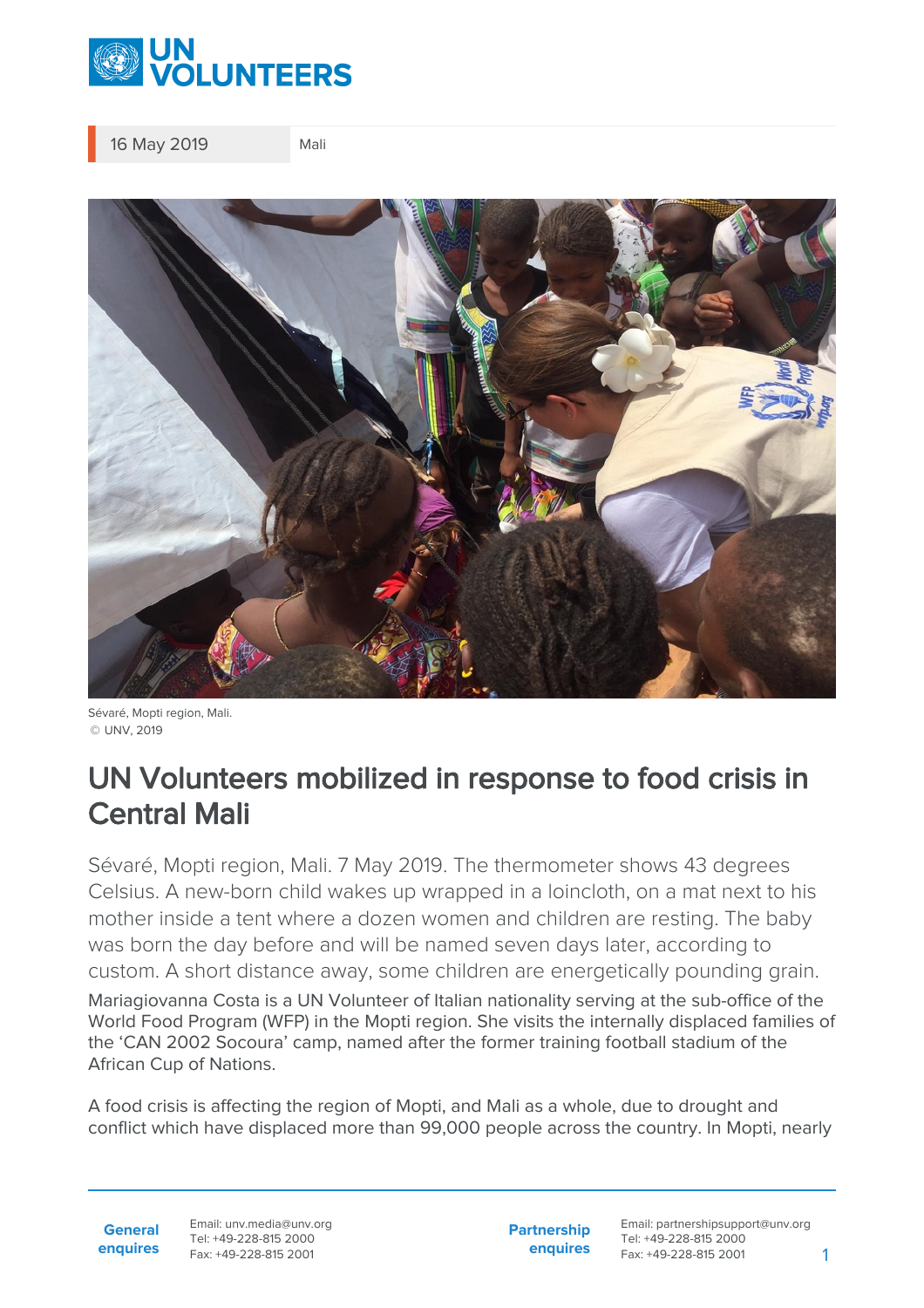

16 May 2019 Mali



Sévaré, Mopti region, Mali. © UNV, 2019

## UN Volunteers mobilized in response to food crisis in Central Mali

Sévaré, Mopti region, Mali. 7 May 2019. The thermometer shows 43 degrees Celsius. A new-born child wakes up wrapped in a loincloth, on a mat next to his mother inside a tent where a dozen women and children are resting. The baby was born the day before and will be named seven days later, according to custom. A short distance away, some children are energetically pounding grain.

Mariagiovanna Costa is a UN Volunteer of Italian nationality serving at the sub-office of the World Food Program (WFP) in the Mopti region. She visits the internally displaced families of the 'CAN 2002 Socoura' camp, named after the former training football stadium of the African Cup of Nations.

A food crisis is affecting the region of Mopti, and Mali as a whole, due to drought and conflict which have displaced more than 99,000 people across the country. In Mopti, nearly

**General enquires** Email: unv.media@unv.org Tel: +49-228-815 2000 Fax: +49-228-815 2001

**Partnership enquires** Email: partnershipsupport@unv.org Tel: +49-228-815 2000 Fax: +49-228-815 2001 1